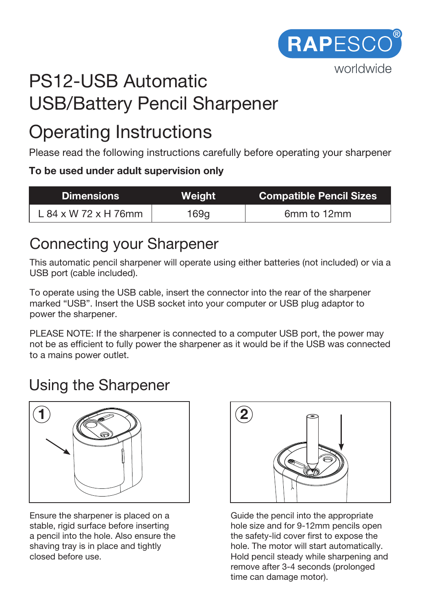

# PS12-USB Automatic USB/Battery Pencil Sharpener

# Operating Instructions

Please read the following instructions carefully before operating your sharpener

#### **To be used under adult supervision only**

| <b>Dimensions</b>    | Weight | <b>Compatible Pencil Sizes</b> |
|----------------------|--------|--------------------------------|
| L 84 x W 72 x H 76mm | 169a   | 6mm to 12mm                    |

### Connecting your Sharpener

This automatic pencil sharpener will operate using either batteries (not included) or via a USB port (cable included).

To operate using the USB cable, insert the connector into the rear of the sharpener marked "USB". Insert the USB socket into your computer or USB plug adaptor to power the sharpener.

PLEASE NOTE: If the sharpener is connected to a computer USB port, the power may not be as efficient to fully power the sharpener as it would be if the USB was connected to a mains power outlet.

# Using the Sharpener



Ensure the sharpener is placed on a stable, rigid surface before inserting a pencil into the hole. Also ensure the shaving tray is in place and tightly closed before use.



Guide the pencil into the appropriate hole size and for 9-12mm pencils open the safety-lid cover first to expose the hole. The motor will start automatically. Hold pencil steady while sharpening and remove after 3-4 seconds (prolonged time can damage motor).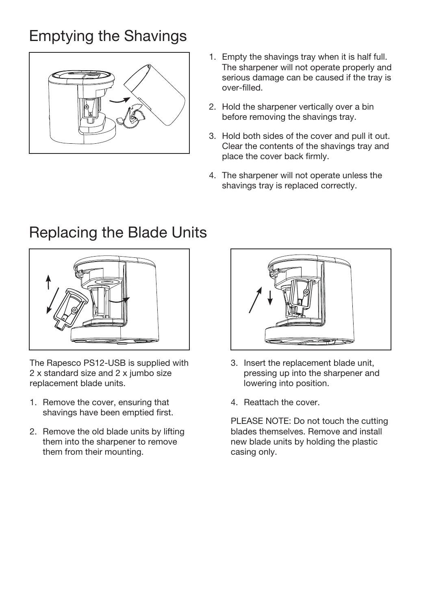# Emptying the Shavings



- 1. Empty the shavings tray when it is half full. The sharpener will not operate properly and serious damage can be caused if the tray is over-filled.
- 2. Hold the sharpener vertically over a bin before removing the shavings tray.
- 3. Hold both sides of the cover and pull it out. Clear the contents of the shavings tray and place the cover back firmly.
- 4. The sharpener will not operate unless the shavings tray is replaced correctly.



The Rapesco PS12-USB is supplied with 2 x standard size and 2 x jumbo size replacement blade units.

- 1. Remove the cover, ensuring that shavings have been emptied first.
- 2. Remove the old blade units by lifting them into the sharpener to remove them from their mounting.



- 3. Insert the replacement blade unit, pressing up into the sharpener and lowering into position.
- 4. Reattach the cover.

PLEASE NOTE: Do not touch the cutting blades themselves. Remove and install new blade units by holding the plastic casing only.

#### Replacing the Blade Units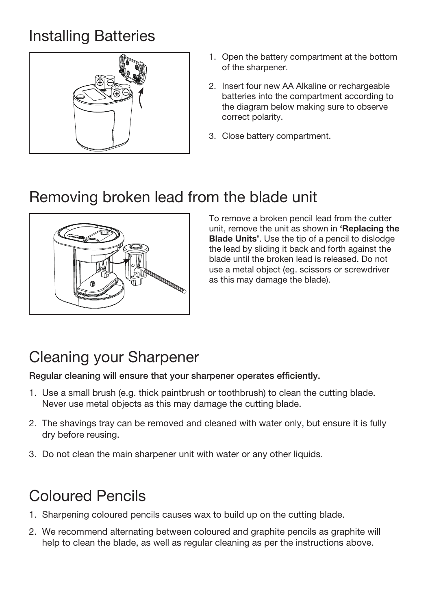# Installing Batteries



- 1. Open the battery compartment at the bottom of the sharpener.
- 2. Insert four new AA Alkaline or rechargeable batteries into the compartment according to the diagram below making sure to observe correct polarity.
- 3. Close battery compartment.

# Removing broken lead from the blade unit



To remove a broken pencil lead from the cutter unit, remove the unit as shown in **'Replacing the Blade Units'**. Use the tip of a pencil to dislodge the lead by sliding it back and forth against the blade until the broken lead is released. Do not use a metal object (eg. scissors or screwdriver as this may damage the blade).

# Cleaning your Sharpener

Regular cleaning will ensure that your sharpener operates efficiently.

- 1. Use a small brush (e.g. thick paintbrush or toothbrush) to clean the cutting blade. Never use metal objects as this may damage the cutting blade.
- 2. The shavings tray can be removed and cleaned with water only, but ensure it is fully dry before reusing.
- 3. Do not clean the main sharpener unit with water or any other liquids.

# Coloured Pencils

- 1. Sharpening coloured pencils causes wax to build up on the cutting blade.
- 2. We recommend alternating between coloured and graphite pencils as graphite will help to clean the blade, as well as regular cleaning as per the instructions above.